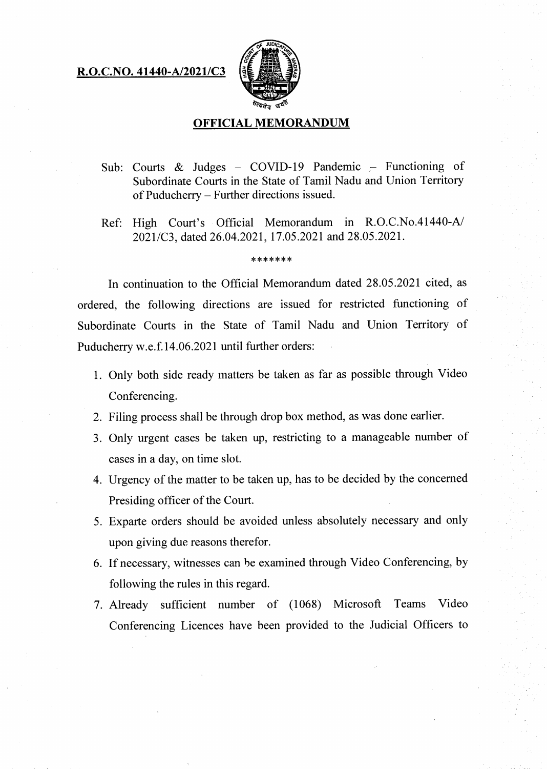## **R.O.C.NO. 41440-A/2021/C3**



## **OFFICIAL MEMORANDUM**

- Sub: Courts & Judges COVID-19 Pandemic Functioning of Subordinate Courts in the State of Tamil Nadu and Union Territory of Puducherry — Further directions issued.
- Ref: High Court's Official Memorandum in R.O.C.No.41440-A/ 2021/C3, dated 26.04.2021, 17.05.2021 and 28.05.2021.

## \*\*\*\*\*\*\*

In continuation to the Official Memorandum dated 28.05.2021 cited, as ordered, the following directions are issued for restricted functioning of Subordinate Courts in the State of Tamil Nadu and Union Territory of Puducherry w.e.f.14.06.2021 until further orders:

- Only both side ready matters be taken as far as possible through Video Conferencing.
- Filing process shall be through drop box method, as was done earlier.
- Only urgent cases be taken up, restricting to a manageable number of cases in a day, on time slot.
- Urgency of the matter to be taken up, has to be decided by the concerned Presiding officer of the Court.
- Exparte orders should be avoided unless absolutely necessary and only upon giving due reasons therefor.
- If necessary, witnesses can be examined through Video Conferencing, by following the rules in this regard.
- Already sufficient number of (1068) Microsoft Teams Video Conferencing Licences have been provided to the Judicial Officers to